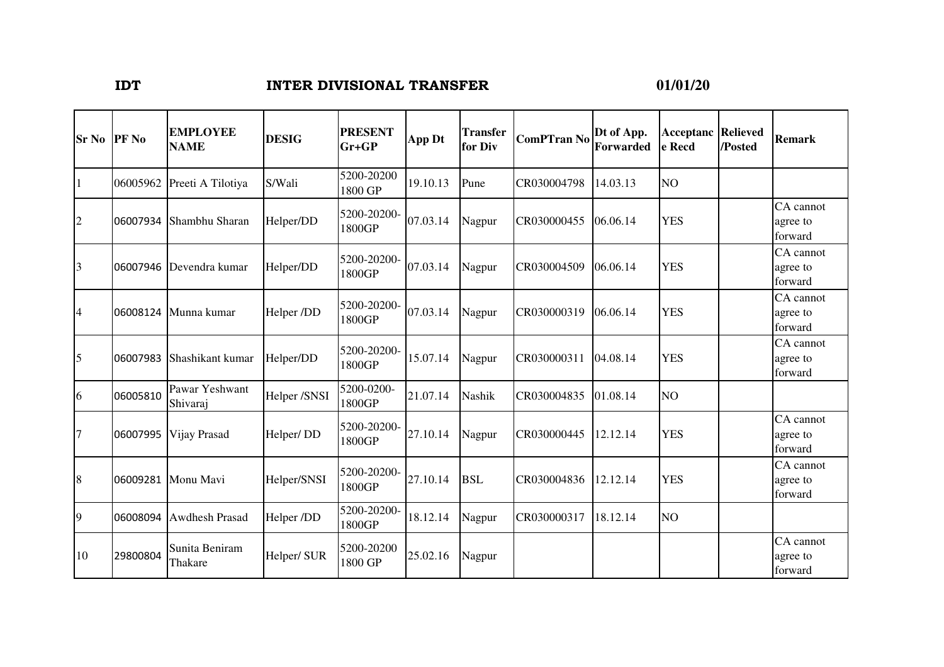## **IDT INTER DIVISIONAL TRANSFER**

## **01/01/20**

| <b>Sr No</b>   | <b>PF</b> No | <b>EMPLOYEE</b><br><b>NAME</b> | <b>DESIG</b> | <b>PRESENT</b><br>$Gr+GP$ | App Dt   | <b>Transfer</b><br>for Div | <b>ComPTran No</b> | Dt of App.<br>Forwarded | <b>Acceptanc Relieved</b><br>e Recd | /Posted | <b>Remark</b>                    |
|----------------|--------------|--------------------------------|--------------|---------------------------|----------|----------------------------|--------------------|-------------------------|-------------------------------------|---------|----------------------------------|
| $\vert$ 1      | 06005962     | Preeti A Tilotiya              | S/Wali       | 5200-20200<br>1800 GP     | 19.10.13 | Pune                       | CR030004798        | 14.03.13                | NO                                  |         |                                  |
| $\overline{2}$ | 06007934     | Shambhu Sharan                 | Helper/DD    | 5200-20200-<br>1800GP     | 07.03.14 | Nagpur                     | CR030000455        | 06.06.14                | <b>YES</b>                          |         | CA cannot<br>agree to<br>forward |
| 3              | 06007946     | Devendra kumar                 | Helper/DD    | 5200-20200-<br>1800GP     | 07.03.14 | Nagpur                     | CR030004509        | 06.06.14                | <b>YES</b>                          |         | CA cannot<br>agree to<br>forward |
| $\overline{4}$ |              | 06008124 Munna kumar           | Helper /DD   | 5200-20200-<br>1800GP     | 07.03.14 | Nagpur                     | CR030000319        | 06.06.14                | <b>YES</b>                          |         | CA cannot<br>agree to<br>forward |
| 5              | 06007983     | Shashikant kumar               | Helper/DD    | 5200-20200-<br>1800GP     | 15.07.14 | Nagpur                     | CR030000311        | 04.08.14                | <b>YES</b>                          |         | CA cannot<br>agree to<br>forward |
| 6              | 06005810     | Pawar Yeshwant<br>Shivaraj     | Helper /SNSI | 5200-0200-<br>1800GP      | 21.07.14 | <b>Nashik</b>              | CR030004835        | 01.08.14                | NO <sub></sub>                      |         |                                  |
| $\overline{7}$ | 06007995     | Vijay Prasad                   | Helper/DD    | 5200-20200-<br>1800GP     | 27.10.14 | Nagpur                     | CR030000445        | 12.12.14                | <b>YES</b>                          |         | CA cannot<br>agree to<br>forward |
| 8              |              | 06009281 Monu Mavi             | Helper/SNSI  | 5200-20200-<br>1800GP     | 27.10.14 | <b>BSL</b>                 | CR030004836        | 12.12.14                | <b>YES</b>                          |         | CA cannot<br>agree to<br>forward |
| $\overline{9}$ | 06008094     | <b>Awdhesh Prasad</b>          | Helper /DD   | 5200-20200-<br>1800GP     | 18.12.14 | Nagpur                     | CR030000317        | 18.12.14                | NO <sub>1</sub>                     |         |                                  |
| 10             | 29800804     | Sunita Beniram<br>Thakare      | Helper/ SUR  | 5200-20200<br>1800 GP     | 25.02.16 | Nagpur                     |                    |                         |                                     |         | CA cannot<br>agree to<br>forward |